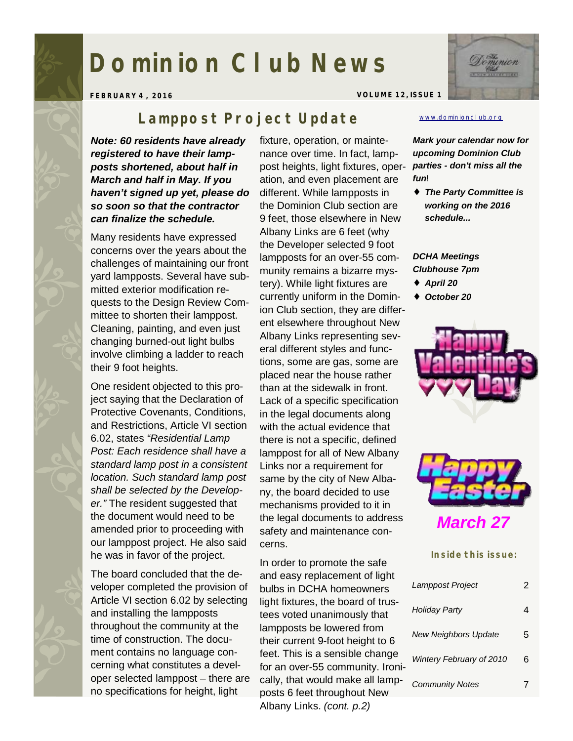# **Dominion Club News**



**FEBRUARY 4 , 2016 VOLUME 12, ISSUE 1** 

# *Lamppost Project Update*

*Note: 60 residents have already registered to have their lampposts shortened, about half in March and half in May. If you haven't signed up yet, please do so soon so that the contractor can finalize the schedule.* 

Many residents have expressed concerns over the years about the challenges of maintaining our front yard lampposts. Several have submitted exterior modification requests to the Design Review Committee to shorten their lamppost. Cleaning, painting, and even just changing burned-out light bulbs involve climbing a ladder to reach their 9 foot heights.

One resident objected to this project saying that the Declaration of Protective Covenants, Conditions, and Restrictions, Article VI section 6.02, states *"Residential Lamp Post: Each residence shall have a standard lamp post in a consistent location. Such standard lamp post shall be selected by the Developer."* The resident suggested that the document would need to be amended prior to proceeding with our lamppost project. He also said he was in favor of the project.

The board concluded that the developer completed the provision of Article VI section 6.02 by selecting and installing the lampposts throughout the community at the time of construction. The document contains no language concerning what constitutes a developer selected lamppost – there are no specifications for height, light

fixture, operation, or maintenance over time. In fact, lamppost heights, light fixtures, operation, and even placement are different. While lampposts in the Dominion Club section are 9 feet, those elsewhere in New Albany Links are 6 feet (why the Developer selected 9 foot lampposts for an over-55 community remains a bizarre mystery). While light fixtures are currently uniform in the Dominion Club section, they are different elsewhere throughout New Albany Links representing several different styles and functions, some are gas, some are placed near the house rather than at the sidewalk in front. Lack of a specific specification in the legal documents along with the actual evidence that there is not a specific, defined lamppost for all of New Albany Links nor a requirement for same by the city of New Albany, the board decided to use mechanisms provided to it in the legal documents to address safety and maintenance concerns.

In order to promote the safe and easy replacement of light bulbs in DCHA homeowners light fixtures, the board of trustees voted unanimously that lampposts be lowered from their current 9-foot height to 6 feet. This is a sensible change for an over-55 community. Ironically, that would make all lampposts 6 feet throughout New Albany Links. *(cont. p.2)*

#### [www.dominionclub.org](http://www.dominionclub.org)

*Mark your calendar now for upcoming Dominion Club parties - don't miss all the fun*!

♦ *The Party Committee is working on the 2016 schedule...* 

*DCHA Meetings Clubhouse 7pm* 

- ♦ *April 20*
- ♦ *October 20*





**Inside this issue:** 

| Lamppost Project            | ン |
|-----------------------------|---|
| Holiday Party               |   |
| <b>New Neighbors Update</b> | 5 |
| Wintery February of 2010    | 6 |
| <b>Community Notes</b>      |   |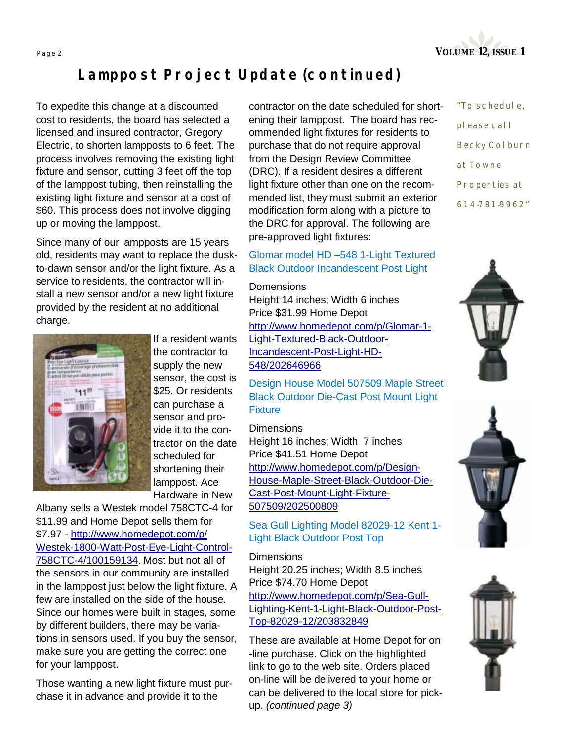

# *Lamppost Project Update (continued)*

To expedite this change at a discounted cost to residents, the board has selected a licensed and insured contractor, Gregory Electric, to shorten lampposts to 6 feet. The process involves removing the existing light fixture and sensor, cutting 3 feet off the top of the lamppost tubing, then reinstalling the existing light fixture and sensor at a cost of \$60. This process does not involve digging up or moving the lamppost.

Since many of our lampposts are 15 years old, residents may want to replace the duskto-dawn sensor and/or the light fixture. As a service to residents, the contractor will install a new sensor and/or a new light fixture provided by the resident at no additional charge.



If a resident wants the contractor to supply the new sensor, the cost is \$25. Or residents can purchase a sensor and provide it to the contractor on the date scheduled for shortening their lamppost. Ace Hardware in New

Albany sells a Westek model 758CTC-4 for \$11.99 and Home Depot sells them for \$7.97 - <http://www.homedepot.com/p/> Westek-1800-Watt-Post-Eye-Light-Control-758CTC-4/100159134. Most but not all of the sensors in our community are installed in the lamppost just below the light fixture. A few are installed on the side of the house. Since our homes were built in stages, some by different builders, there may be variations in sensors used. If you buy the sensor, make sure you are getting the correct one for your lamppost.

Those wanting a new light fixture must purchase it in advance and provide it to the

contractor on the date scheduled for shortening their lamppost. The board has recommended light fixtures for residents to purchase that do not require approval from the Design Review Committee (DRC). If a resident desires a different light fixture other than one on the recommended list, they must submit an exterior modification form along with a picture to the DRC for approval. The following are pre-approved light fixtures:

#### Glomar model HD –548 1-Light Textured Black Outdoor Incandescent Post Light

**Domensions** Height 14 inches; Width 6 inches Price \$31.99 Home Depot <http://www.homedepot.com/p/Glomar-1>- Light-Textured-Black-Outdoor-Incandescent-Post-Light-HD-548/202646966

Design House Model 507509 Maple Street Black Outdoor Die-Cast Post Mount Light Fixture

#### **Dimensions**

Height 16 inches; Width 7 inches Price \$41.51 Home Depot [http://www.homedepot.com/p/Design-](http://www.homedepot.com/p/Design)House-Maple-Street-Black-Outdoor-Die-Cast-Post-Mount-Light-Fixture-507509/202500809

Sea Gull Lighting Model 82029-12 Kent 1- Light Black Outdoor Post Top

#### **Dimensions**

Height 20.25 inches; Width 8.5 inches Price \$74.70 Home Depot <http://www.homedepot.com/p/Sea-Gull>-Lighting-Kent-1-Light-Black-Outdoor-Post-Top-82029-12/203832849

These are available at Home Depot for on -line purchase. Click on the highlighted link to go to the web site. Orders placed on-line will be delivered to your home or can be delivered to the local store for pickup. *(continued page 3)* 

*"To schedule, please call Becky Colburn at Towne Properties at 614-781-9962"* 





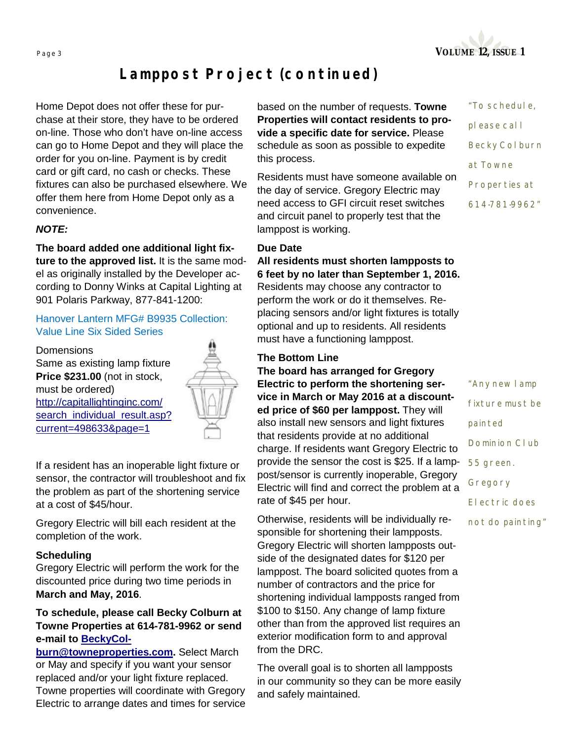

# *Lamppost Project (continued)*

Home Depot does not offer these for purchase at their store, they have to be ordered on-line. Those who don't have on-line access can go to Home Depot and they will place the order for you on-line. Payment is by credit card or gift card, no cash or checks. These fixtures can also be purchased elsewhere. We offer them here from Home Depot only as a convenience.

#### *NOTE:*

**The board added one additional light fixture to the approved list.** It is the same model as originally installed by the Developer according to Donny Winks at Capital Lighting at 901 Polaris Parkway, 877-841-1200:

#### Hanover Lantern MFG# B9935 Collection: Value Line Six Sided Series

**Domensions** Same as existing lamp fixture **Price \$231.00** (not in stock, must be ordered) <http://capitallightinginc.com/> search\_individual\_result.asp? current=498633&page=1



If a resident has an inoperable light fixture or sensor, the contractor will troubleshoot and fix the problem as part of the shortening service at a cost of \$45/hour.

Gregory Electric will bill each resident at the completion of the work.

#### **Scheduling**

Gregory Electric will perform the work for the discounted price during two time periods in **March and May, 2016**.

#### **To schedule, please call Becky Colburn at Towne Properties at 614-781-9962 or send e-mail to BeckyCol-**

**[burn@towneproperties.com.](mailto:burn@towneproperties.com)** Select March or May and specify if you want your sensor replaced and/or your light fixture replaced. Towne properties will coordinate with Gregory Electric to arrange dates and times for service

based on the number of requests. **Towne Properties will contact residents to provide a specific date for service.** Please schedule as soon as possible to expedite this process.

Residents must have someone available on the day of service. Gregory Electric may need access to GFI circuit reset switches and circuit panel to properly test that the lamppost is working.

#### **Due Date**

**All residents must shorten lampposts to 6 feet by no later than September 1, 2016.**  Residents may choose any contractor to perform the work or do it themselves. Replacing sensors and/or light fixtures is totally optional and up to residents. All residents must have a functioning lamppost.

#### **The Bottom Line**

**The board has arranged for Gregory Electric to perform the shortening service in March or May 2016 at a discounted price of \$60 per lamppost.** They will also install new sensors and light fixtures that residents provide at no additional charge. If residents want Gregory Electric to provide the sensor the cost is \$25. If a lamppost/sensor is currently inoperable, Gregory Electric will find and correct the problem at a rate of \$45 per hour.

Otherwise, residents will be individually responsible for shortening their lampposts. Gregory Electric will shorten lampposts outside of the designated dates for \$120 per lamppost. The board solicited quotes from a number of contractors and the price for shortening individual lampposts ranged from \$100 to \$150. Any change of lamp fixture other than from the approved list requires an exterior modification form to and approval from the DRC.

The overall goal is to shorten all lampposts in our community so they can be more easily and safely maintained.

*"To schedule, please call Becky Colburn at Towne Properties at 614-781-9962"* 

*"Any new lamp fixture must be painted Dominion Club 55 green. Gregory Electric does not do painting"*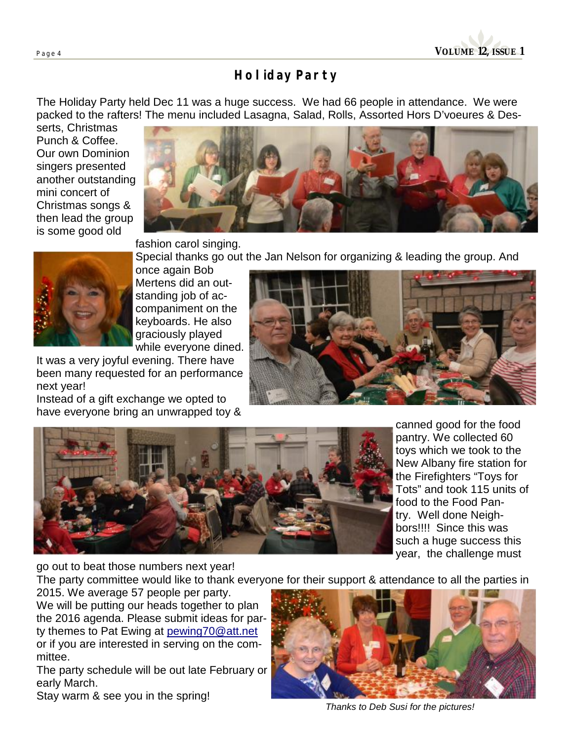## *Holiday Party*

The Holiday Party held Dec 11 was a huge success. We had 66 people in attendance. We were packed to the rafters! The menu included Lasagna, Salad, Rolls, Assorted Hors D'voeures & Des-

serts, Christmas Punch & Coffee. Our own Dominion singers presented another outstanding mini concert of Christmas songs & then lead the group is some good old



fashion carol singing.

Special thanks go out the Jan Nelson for organizing & leading the group. And



once again Bob Mertens did an outstanding job of accompaniment on the keyboards. He also graciously played while everyone dined.

It was a very joyful evening. There have been many requested for an performance next year!

Instead of a gift exchange we opted to have everyone bring an unwrapped toy &





canned good for the food pantry. We collected 60 toys which we took to the New Albany fire station for the Firefighters "Toys for Tots" and took 115 units of food to the Food Pantry. Well done Neighbors!!!! Since this was such a huge success this year, the challenge must

go out to beat those numbers next year!

The party committee would like to thank everyone for their support & attendance to all the parties in

2015. We average 57 people per party. We will be putting our heads together to plan the 2016 agenda. Please submit ideas for party themes to Pat Ewing at [pewing70@att.net](mailto:pewing70@att.net) or if you are interested in serving on the committee.

The party schedule will be out late February or early March.

Stay warm & see you in the spring!



*Thanks to Deb Susi for the pictures!*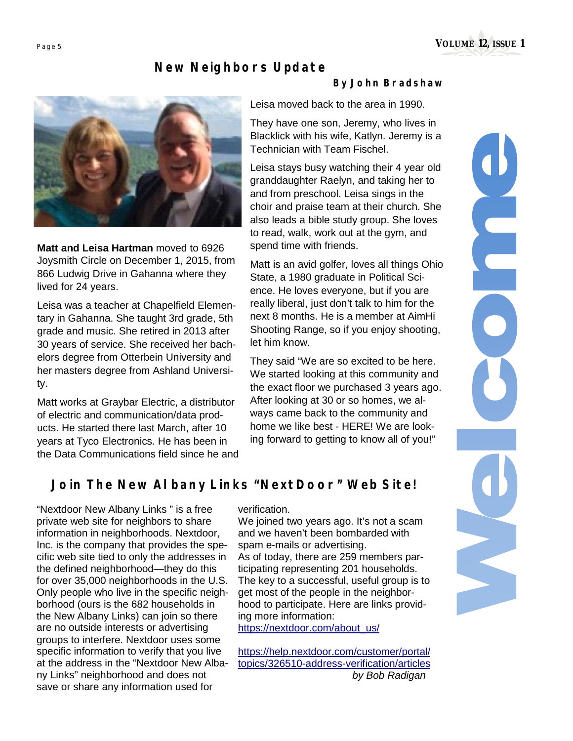**Page <sup>5</sup>VOLUME 12, ISSUE 1** 

### *New Neighbors Update*



**Matt and Leisa Hartman** moved to 6926 Joysmith Circle on December 1, 2015, from 866 Ludwig Drive in Gahanna where they lived for 24 years.

Leisa was a teacher at Chapelfield Elementary in Gahanna. She taught 3rd grade, 5th grade and music. She retired in 2013 after 30 years of service. She received her bachelors degree from Otterbein University and her masters degree from Ashland University.

Matt works at Graybar Electric, a distributor of electric and communication/data products. He started there last March, after 10 years at Tyco Electronics. He has been in the Data Communications field since he and

#### *By John Bradshaw*

Leisa moved back to the area in 1990.

They have one son, Jeremy, who lives in Blacklick with his wife, Katlyn. Jeremy is a Technician with Team Fischel.

Leisa stays busy watching their 4 year old granddaughter Raelyn, and taking her to and from preschool. Leisa sings in the choir and praise team at their church. She also leads a bible study group. She loves to read, walk, work out at the gym, and spend time with friends.

Matt is an avid golfer, loves all things Ohio State, a 1980 graduate in Political Science. He loves everyone, but if you are really liberal, just don't talk to him for the next 8 months. He is a member at AimHi Shooting Range, so if you enjoy shooting, let him know.

They said "We are so excited to be here. We started looking at this community and the exact floor we purchased 3 years ago. After looking at 30 or so homes, we always came back to the community and home we like best - HERE! We are looking forward to getting to know all of you!"

### *Join The New Albany Links "NextDoor" Web Site!*

"Nextdoor New Albany Links " is a free private web site for neighbors to share information in neighborhoods. Nextdoor, Inc. is the company that provides the specific web site tied to only the addresses in the defined neighborhood—they do this for over 35,000 neighborhoods in the U.S. Only people who live in the specific neighborhood (ours is the 682 households in the New Albany Links) can join so there are no outside interests or advertising groups to interfere. Nextdoor uses some specific information to verify that you live at the address in the "Nextdoor New Albany Links" neighborhood and does not save or share any information used for

verification.

We joined two years ago. It's not a scam and we haven't been bombarded with spam e-mails or advertising. As of today, there are 259 members participating representing 201 households. The key to a successful, useful group is to get most of the people in the neighborhood to participate. Here are links providing more information: [https://nextdoor.com/about\\_us/](https://nextdoor.com/about_us/)

<https://help.nextdoor.com/customer/portal/> topics/326510-address-verification/articles  *by Bob Radigan*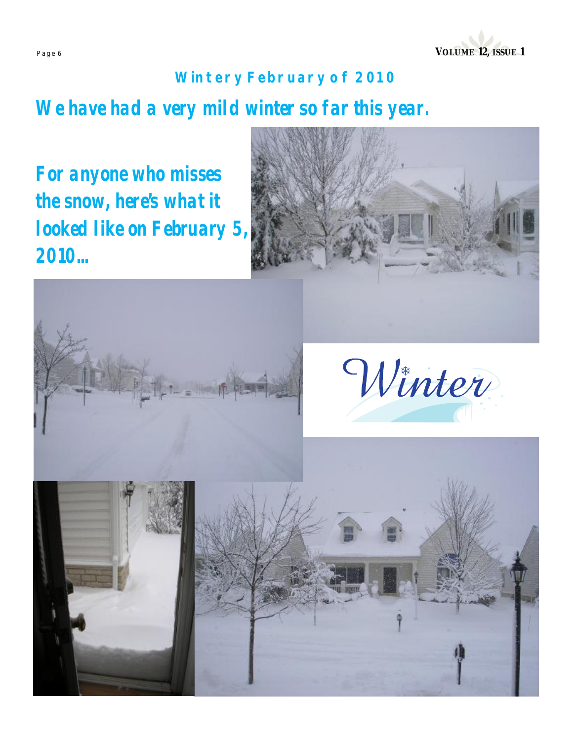

# *Wintery February of 2010*  **We have had a very mild winter so far this year.**

**For anyone who misses the snow, here's what it looked like on February 5, 2010...**